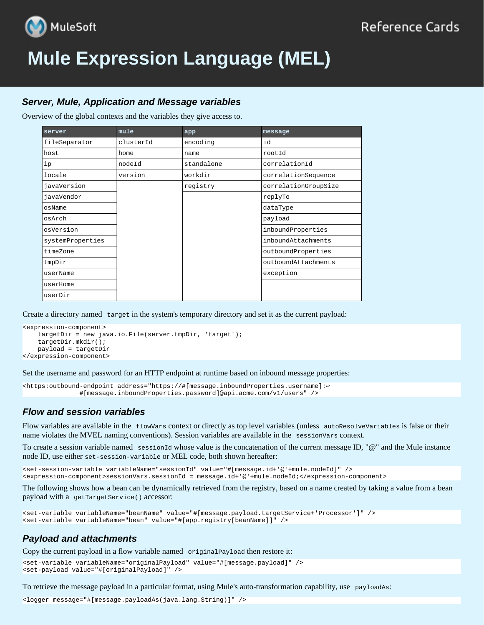

# **Mule Expression Language (MEL)**

# *Server, Mule, Application and Message variables*

Overview of the global contexts and the variables they give access to.

| server           | mule      | app        | message              |
|------------------|-----------|------------|----------------------|
| fileSeparator    | clusterId | encoding   | id                   |
| host             | home      | name       | rootId               |
| ip               | nodeId    | standalone | correlationId        |
| locale           | version   | workdir    | correlationSequence  |
| javaVersion      |           | registry   | correlationGroupSize |
| javaVendor       |           |            | replyTo              |
| osName           |           |            | dataType             |
| osArch           |           |            | payload              |
| osVersion        |           |            | inboundProperties    |
| systemProperties |           |            | inboundAttachments   |
| timeZone         |           |            | outboundProperties   |
| tmpDir           |           |            | outboundAttachments  |
| userName         |           |            | exception            |
| userHome         |           |            |                      |
| userDir          |           |            |                      |

Create a directory named target in the system's temporary directory and set it as the current payload:

```
<expression-component>
     targetDir = new java.io.File(server.tmpDir, 'target');
     targetDir.mkdir();
    payload = targetDir
</expression-component>
```
Set the username and password for an HTTP endpoint at runtime based on inbound message properties:

```
<https:outbound-endpoint address="https://#[message.inboundProperties.username]:↩
                #[message.inboundProperties.password]@api.acme.com/v1/users" />
```
## *Flow and session variables*

Flow variables are available in the flowVars context or directly as top level variables (unless autoResolveVariables is false or their name violates the MVEL naming conventions). Session variables are available in the sessionVars context.

To create a session variable named sessionId whose value is the concatenation of the current message ID, " $\omega$ " and the Mule instance node ID, use either set-session-variable or MEL code, both shown hereafter:

```
<set-session-variable variableName="sessionId" value="#[message.id+'@'+mule.nodeId]" />
<expression-component>sessionVars.sessionId = message.id+'@'+mule.nodeId;</expression-component>
```
The following shows how a bean can be dynamically retrieved from the registry, based on a name created by taking a value from a bean payload with a getTargetService() accessor:

```
<set-variable variableName="beanName" value="#[message.payload.targetService+'Processor']" />
<set-variable variableName="bean" value="#[app.registry[beanName]]" />
```
## *Payload and attachments*

Copy the current payload in a flow variable named originalPayload then restore it:

```
<set-variable variableName="originalPayload" value="#[message.payload]" />
<set-payload value="#[originalPayload]" />
```
To retrieve the message payload in a particular format, using Mule's auto-transformation capability, use payloadAs:

<logger message="#[message.payloadAs(java.lang.String)]" />